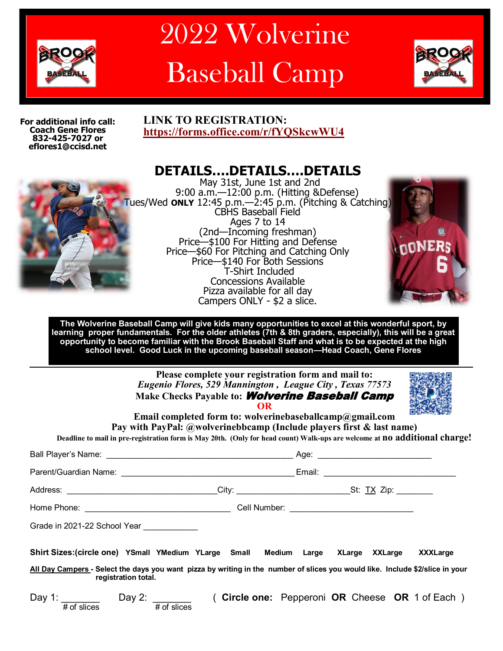

# 2022 Wolverine Baseball Camp



**For additional info call: Coach Gene Flores 832-425-7027 or eflores1@ccisd.net**

# **LINK TO REGISTRATION: <https://forms.office.com/r/fYQSkcwWU4>**



**DETAILS….DETAILS….DETAILS** May 31st, June 1st and 2nd 9:00 a.m.—12:00 p.m. (Hitting &Defense) Tues/Wed **ONLY** 12:45 p.m.—2:45 p.m. (Pitching & Catching) CBHS Baseball Field Ages 7 to 14 (2nd—Incoming freshman) Price—\$100 For Hitting and Defense Price—\$60 For Pitching and Catching Only Price—\$140 For Both Sessions T-Shirt Included Concessions Available Pizza available for all day Campers ONLY - \$2 a slice.



**The Wolverine Baseball Camp will give kids many opportunities to excel at this wonderful sport, by learning proper fundamentals. For the older athletes (7th & 8th graders, especially), this will be a great opportunity to become familiar with the Brook Baseball Staff and what is to be expected at the high school level. Good Luck in the upcoming baseball season—Head Coach, Gene Flores**

> **Please complete your registration form and mail to:**  *Eugenio Flores, 529 Mannington , League City , Texas 77573* **Make Checks Payable to:** Wolverine Baseball Camp **OR**



**Email completed form to: wolverinebaseballcamp@gmail.com Pay with PayPal: @wolverinebbcamp (Include players first & last name) Deadline to mail in pre-registration form is May 20th. (Only for head count) Walk-ups are welcome at no additional charge!**

| Address: _________________________________City: _____________________________St: <u>TX</u> Zip: _________                                            |  |  |  |  |  |  |  |  |                                                |
|------------------------------------------------------------------------------------------------------------------------------------------------------|--|--|--|--|--|--|--|--|------------------------------------------------|
|                                                                                                                                                      |  |  |  |  |  |  |  |  |                                                |
| Grade in 2021-22 School Year ____________                                                                                                            |  |  |  |  |  |  |  |  |                                                |
| Shirt Sizes:(circle one) YSmall YMedium YLarge Small Medium Large XLarge XXLarge                                                                     |  |  |  |  |  |  |  |  | <b>XXXLarge</b>                                |
| All Day Campers - Select the days you want pizza by writing in the number of slices you would like. Include \$2/slice in your<br>registration total. |  |  |  |  |  |  |  |  |                                                |
| Day 1: $\frac{\text{Day 2:}}{\text{\# of slices}}$ Day 2: $\frac{\text{Day 2:}}{\text{\# of slices}}$                                                |  |  |  |  |  |  |  |  | (Circle one: Pepperoni OR Cheese OR 1 of Each) |